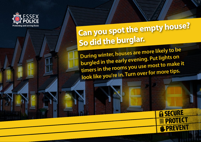

## **S o did the burglar. Can you spot the empty house?**

**During winter, houses are more likely to be burgled in the early evening. Put lights on timers in the rooms you use most to make it look like you're in. Turn over for more tips.**